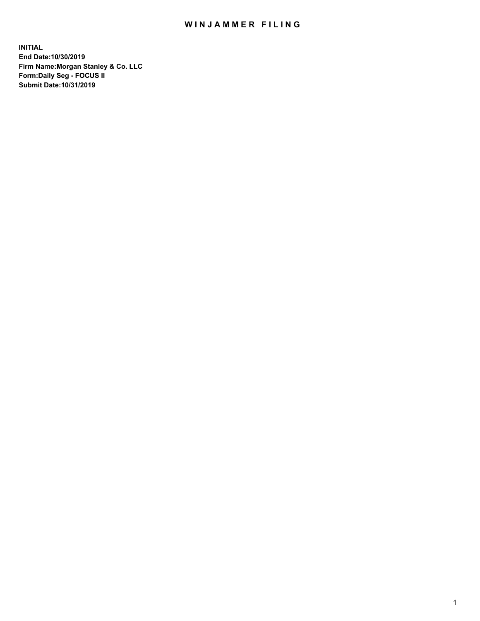## WIN JAMMER FILING

**INITIAL End Date:10/30/2019 Firm Name:Morgan Stanley & Co. LLC Form:Daily Seg - FOCUS II Submit Date:10/31/2019**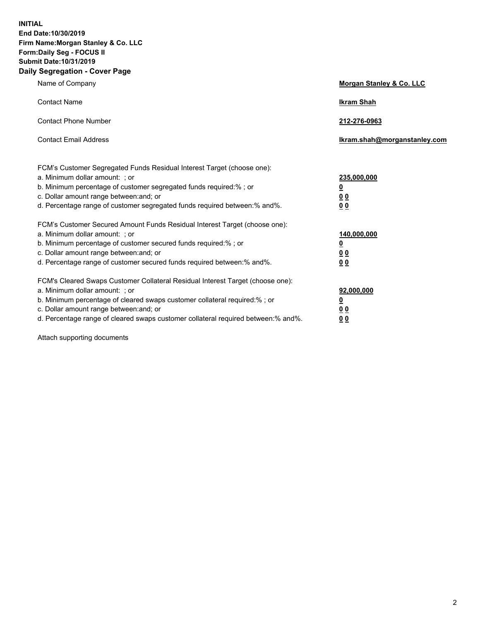**INITIAL End Date:10/30/2019 Firm Name:Morgan Stanley & Co. LLC Form:Daily Seg - FOCUS II Submit Date:10/31/2019 Daily Segregation - Cover Page**

| Name of Company                                                                                                                                                                                                                                                                                                                | Morgan Stanley & Co. LLC                               |
|--------------------------------------------------------------------------------------------------------------------------------------------------------------------------------------------------------------------------------------------------------------------------------------------------------------------------------|--------------------------------------------------------|
| <b>Contact Name</b>                                                                                                                                                                                                                                                                                                            | <b>Ikram Shah</b>                                      |
| <b>Contact Phone Number</b>                                                                                                                                                                                                                                                                                                    | 212-276-0963                                           |
| <b>Contact Email Address</b>                                                                                                                                                                                                                                                                                                   | Ikram.shah@morganstanley.com                           |
| FCM's Customer Segregated Funds Residual Interest Target (choose one):<br>a. Minimum dollar amount: ; or<br>b. Minimum percentage of customer segregated funds required:% ; or<br>c. Dollar amount range between: and; or<br>d. Percentage range of customer segregated funds required between:% and%.                         | 235,000,000<br><u>0</u><br>00<br>00                    |
| FCM's Customer Secured Amount Funds Residual Interest Target (choose one):<br>a. Minimum dollar amount: ; or<br>b. Minimum percentage of customer secured funds required:%; or<br>c. Dollar amount range between: and; or<br>d. Percentage range of customer secured funds required between: % and %.                          | 140,000,000<br><u>0</u><br><u>00</u><br>0 <sub>0</sub> |
| FCM's Cleared Swaps Customer Collateral Residual Interest Target (choose one):<br>a. Minimum dollar amount: ; or<br>b. Minimum percentage of cleared swaps customer collateral required:% ; or<br>c. Dollar amount range between: and; or<br>d. Percentage range of cleared swaps customer collateral required between:% and%. | 92,000,000<br><u>0</u><br>0 Q<br>00                    |

Attach supporting documents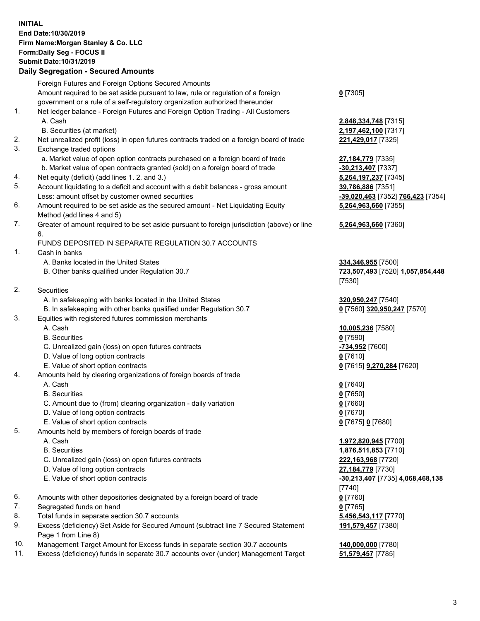## **INITIAL End Date:10/30/2019 Firm Name:Morgan Stanley & Co. LLC Form:Daily Seg - FOCUS II Submit Date:10/31/2019**

## **Daily Segregation - Secured Amounts**

|     | Foreign Futures and Foreign Options Secured Amounts                                         |                                   |
|-----|---------------------------------------------------------------------------------------------|-----------------------------------|
|     | Amount required to be set aside pursuant to law, rule or regulation of a foreign            | $0$ [7305]                        |
|     | government or a rule of a self-regulatory organization authorized thereunder                |                                   |
| 1.  | Net ledger balance - Foreign Futures and Foreign Option Trading - All Customers             |                                   |
|     | A. Cash                                                                                     | 2,848,334,748 [7315]              |
|     | B. Securities (at market)                                                                   | 2,197,462,100 [7317]              |
| 2.  | Net unrealized profit (loss) in open futures contracts traded on a foreign board of trade   | 221,429,017 [7325]                |
| 3.  | Exchange traded options                                                                     |                                   |
|     | a. Market value of open option contracts purchased on a foreign board of trade              | 27,184,779 [7335]                 |
|     | b. Market value of open contracts granted (sold) on a foreign board of trade                | -30,213,407 [7337]                |
| 4.  | Net equity (deficit) (add lines 1. 2. and 3.)                                               | 5,264,197,237 [7345]              |
| 5.  | Account liquidating to a deficit and account with a debit balances - gross amount           | 39,786,886 [7351]                 |
|     | Less: amount offset by customer owned securities                                            | -39,020,463 [7352] 766,423 [7354] |
| 6.  | Amount required to be set aside as the secured amount - Net Liquidating Equity              | 5,264,963,660 [7355]              |
|     | Method (add lines 4 and 5)                                                                  |                                   |
| 7.  | Greater of amount required to be set aside pursuant to foreign jurisdiction (above) or line | 5,264,963,660 [7360]              |
|     | 6.                                                                                          |                                   |
|     | FUNDS DEPOSITED IN SEPARATE REGULATION 30.7 ACCOUNTS                                        |                                   |
| 1.  | Cash in banks                                                                               |                                   |
|     | A. Banks located in the United States                                                       | 334,346,955 [7500]                |
|     | B. Other banks qualified under Regulation 30.7                                              | 723,507,493 [7520] 1,057,854,448  |
|     |                                                                                             | [7530]                            |
| 2.  | Securities                                                                                  |                                   |
|     | A. In safekeeping with banks located in the United States                                   | 320,950,247 [7540]                |
|     | B. In safekeeping with other banks qualified under Regulation 30.7                          | 0 [7560] 320,950,247 [7570]       |
| 3.  | Equities with registered futures commission merchants                                       |                                   |
|     | A. Cash                                                                                     | 10,005,236 [7580]                 |
|     | <b>B.</b> Securities                                                                        | $0$ [7590]                        |
|     | C. Unrealized gain (loss) on open futures contracts                                         | -734,952 [7600]                   |
|     | D. Value of long option contracts                                                           | $0$ [7610]                        |
|     | E. Value of short option contracts                                                          | 0 [7615] 9,270,284 [7620]         |
| 4.  | Amounts held by clearing organizations of foreign boards of trade                           |                                   |
|     | A. Cash                                                                                     | $0$ [7640]                        |
|     | <b>B.</b> Securities                                                                        | $0$ [7650]                        |
|     | C. Amount due to (from) clearing organization - daily variation                             | $0$ [7660]                        |
|     | D. Value of long option contracts                                                           | $0$ [7670]                        |
|     | E. Value of short option contracts                                                          | 0 [7675] 0 [7680]                 |
| 5.  | Amounts held by members of foreign boards of trade                                          |                                   |
|     | A. Cash                                                                                     | 1,972,820,945 [7700]              |
|     | <b>B.</b> Securities                                                                        | 1,876,511,853 [7710]              |
|     | C. Unrealized gain (loss) on open futures contracts                                         | 222,163,968 [7720]                |
|     | D. Value of long option contracts                                                           | 27,184,779 [7730]                 |
|     | E. Value of short option contracts                                                          | -30,213,407 [7735] 4,068,468,138  |
|     |                                                                                             | [7740]                            |
| 6.  | Amounts with other depositories designated by a foreign board of trade                      | $0$ [7760]                        |
| 7.  | Segregated funds on hand                                                                    | $0$ [7765]                        |
| 8.  | Total funds in separate section 30.7 accounts                                               | 5,456,543,117 [7770]              |
| 9.  | Excess (deficiency) Set Aside for Secured Amount (subtract line 7 Secured Statement         | 191,579,457 [7380]                |
|     | Page 1 from Line 8)                                                                         |                                   |
| 1 N | Managament Tarast Amount for Excess funds in congrate section 20.7 accounts                 | 440.000.000.177001                |

- 10. Management Target Amount for Excess funds in separate section 30.7 accounts **140,000,000** [7780]
- 11. Excess (deficiency) funds in separate 30.7 accounts over (under) Management Target **51,579,457** [7785]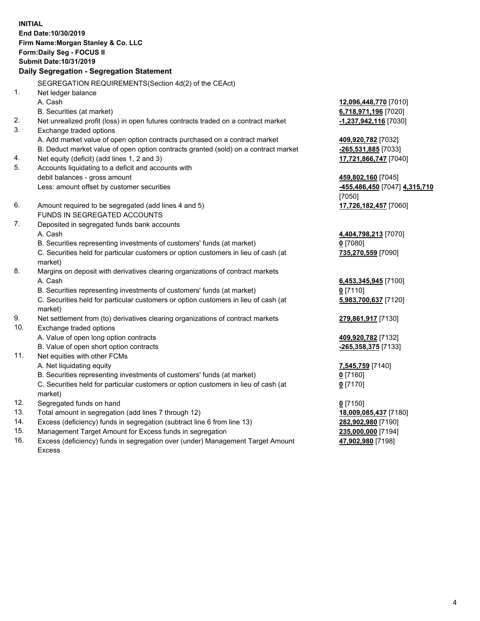**INITIAL End Date:10/30/2019 Firm Name:Morgan Stanley & Co. LLC Form:Daily Seg - FOCUS II Submit Date:10/31/2019 Daily Segregation - Segregation Statement** SEGREGATION REQUIREMENTS(Section 4d(2) of the CEAct) 1. Net ledger balance A. Cash **12,096,448,770** [7010] B. Securities (at market) **6,718,971,196** [7020] 2. Net unrealized profit (loss) in open futures contracts traded on a contract market **-1,237,942,116** [7030] 3. Exchange traded options A. Add market value of open option contracts purchased on a contract market **409,920,782** [7032] B. Deduct market value of open option contracts granted (sold) on a contract market **-265,531,885** [7033] 4. Net equity (deficit) (add lines 1, 2 and 3) **17,721,866,747** [7040] 5. Accounts liquidating to a deficit and accounts with debit balances - gross amount **459,802,160** [7045] Less: amount offset by customer securities **-455,486,450** [7047] **4,315,710** [7050] 6. Amount required to be segregated (add lines 4 and 5) **17,726,182,457** [7060] FUNDS IN SEGREGATED ACCOUNTS 7. Deposited in segregated funds bank accounts A. Cash **4,404,798,213** [7070] B. Securities representing investments of customers' funds (at market) **0** [7080] C. Securities held for particular customers or option customers in lieu of cash (at market) **735,270,559** [7090] 8. Margins on deposit with derivatives clearing organizations of contract markets A. Cash **6,453,345,945** [7100] B. Securities representing investments of customers' funds (at market) **0** [7110] C. Securities held for particular customers or option customers in lieu of cash (at market) **5,983,700,637** [7120] 9. Net settlement from (to) derivatives clearing organizations of contract markets **279,861,917** [7130] 10. Exchange traded options A. Value of open long option contracts **409,920,782** [7132] B. Value of open short option contracts **-265,358,375** [7133] 11. Net equities with other FCMs A. Net liquidating equity **7,545,759** [7140] B. Securities representing investments of customers' funds (at market) **0** [7160] C. Securities held for particular customers or option customers in lieu of cash (at market) **0** [7170] 12. Segregated funds on hand **0** [7150] 13. Total amount in segregation (add lines 7 through 12) **18,009,085,437** [7180] 14. Excess (deficiency) funds in segregation (subtract line 6 from line 13) **282,902,980** [7190]

- 15. Management Target Amount for Excess funds in segregation **235,000,000** [7194]
- 16. Excess (deficiency) funds in segregation over (under) Management Target Amount Excess

**47,902,980** [7198]